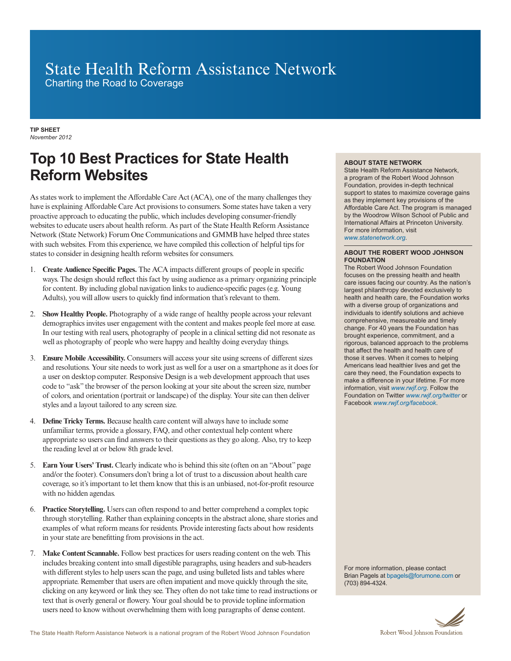## State Health Reform Assistance Network

Charting the Road to Coverage

**TIP SHEET** *November 2012*

## **Top 10 Best Practices for State Health Reform Websites**

As states work to implement the Affordable Care Act (ACA), one of the many challenges they have is explaining Affordable Care Act provisions to consumers. Some states have taken a very proactive approach to educating the public, which includes developing consumer-friendly websites to educate users about health reform. As part of the State Health Reform Assistance Network (State Network) Forum One Communications and GMMB have helped three states with such websites. From this experience, we have compiled this collection of helpful tips for states to consider in designing health reform websites for consumers.

- 1. **Create Audience Specific Pages.** The ACA impacts different groups of people in specific ways. The design should reflect this fact by using audience as a primary organizing principle for content. By including global navigation links to audience-specific pages (e.g. Young Adults), you will allow users to quickly find information that's relevant to them.
- 2. **Show Healthy People.** Photography of a wide range of healthy people across your relevant demographics invites user engagement with the content and makes people feel more at ease. In our testing with real users, photography of people in a clinical setting did not resonate as well as photography of people who were happy and healthy doing everyday things.
- 3. **Ensure Mobile Accessibility.** Consumers will access your site using screens of different sizes and resolutions. Your site needs to work just as well for a user on a smartphone as it does for a user on desktop computer. Responsive Design is a web development approach that uses code to "ask" the browser of the person looking at your site about the screen size, number of colors, and orientation (portrait or landscape) of the display. Your site can then deliver styles and a layout tailored to any screen size.
- 4. **Define Tricky Terms.** Because health care content will always have to include some unfamiliar terms, provide a glossary, FAQ, and other contextual help content where appropriate so users can find answers to their questions as they go along. Also, try to keep the reading level at or below 8th grade level.
- 5. **Earn Your Users' Trust.** Clearly indicate who is behind this site (often on an "About" page and/or the footer). Consumers don't bring a lot of trust to a discussion about health care coverage, so it's important to let them know that this is an unbiased, not-for-profit resource with no hidden agendas.
- 6. **Practice Storytelling.** Users can often respond to and better comprehend a complex topic through storytelling. Rather than explaining concepts in the abstract alone, share stories and examples of what reform means for residents. Provide interesting facts about how residents in your state are benefitting from provisions in the act.
- 7. **Make Content Scannable.** Follow best practices for users reading content on the web. This includes breaking content into small digestible paragraphs, using headers and sub-headers with different styles to help users scan the page, and using bulleted lists and tables where appropriate. Remember that users are often impatient and move quickly through the site, clicking on any keyword or link they see. They often do not take time to read instructions or text that is overly general or flowery. Your goal should be to provide topline information users need to know without overwhelming them with long paragraphs of dense content.

## **ABOUT STATE NETWORK**

State Health Reform Assistance Network, a program of the Robert Wood Johnson Foundation, provides in-depth technical support to states to maximize coverage gains as they implement key provisions of the Affordable Care Act. The program is managed by the Woodrow Wilson School of Public and International Affairs at Princeton University. For more information, visit *www.statenetwork.org.*

## **ABOUT THE ROBERT WOOD JOHNSON FOUNDATION**

The Robert Wood Johnson Foundation focuses on the pressing health and health care issues facing our country. As the nation's largest philanthropy devoted exclusively to health and health care, the Foundation works with a diverse group of organizations and individuals to identify solutions and achieve comprehensive, measureable and timely change. For 40 years the Foundation has brought experience, commitment, and a rigorous, balanced approach to the problems that affect the health and health care of those it serves. When it comes to helping Americans lead healthier lives and get the care they need, the Foundation expects to make a difference in your lifetime. For more information, visit *www.rwjf.org*. Follow the Foundation on Twitter *www.rwjf.org/twitter* or Facebook *www.rwjf.org/facebook*.

For more information, please contact Brian Pagels at bpagels@forumone.com or (703) 894-4324.